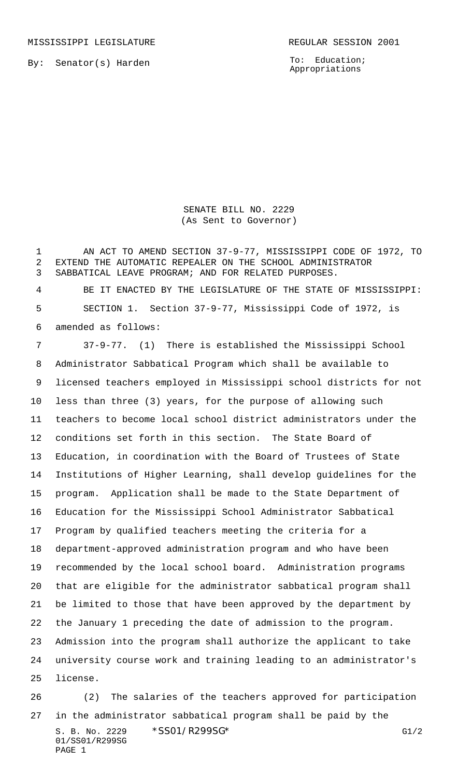MISSISSIPPI LEGISLATURE **REGULAR SESSION 2001** 

By: Senator(s) Harden

To: Education; Appropriations

SENATE BILL NO. 2229 (As Sent to Governor)

 AN ACT TO AMEND SECTION 37-9-77, MISSISSIPPI CODE OF 1972, TO EXTEND THE AUTOMATIC REPEALER ON THE SCHOOL ADMINISTRATOR SABBATICAL LEAVE PROGRAM; AND FOR RELATED PURPOSES.

 BE IT ENACTED BY THE LEGISLATURE OF THE STATE OF MISSISSIPPI: SECTION 1. Section 37-9-77, Mississippi Code of 1972, is amended as follows:

 37-9-77. (1) There is established the Mississippi School Administrator Sabbatical Program which shall be available to licensed teachers employed in Mississippi school districts for not less than three (3) years, for the purpose of allowing such teachers to become local school district administrators under the conditions set forth in this section. The State Board of Education, in coordination with the Board of Trustees of State Institutions of Higher Learning, shall develop guidelines for the program. Application shall be made to the State Department of Education for the Mississippi School Administrator Sabbatical Program by qualified teachers meeting the criteria for a department-approved administration program and who have been recommended by the local school board. Administration programs that are eligible for the administrator sabbatical program shall be limited to those that have been approved by the department by the January 1 preceding the date of admission to the program. Admission into the program shall authorize the applicant to take university course work and training leading to an administrator's license.

S. B. No. 2229 \* SS01/R299SG\* G1/2 01/SS01/R299SG PAGE 1 (2) The salaries of the teachers approved for participation in the administrator sabbatical program shall be paid by the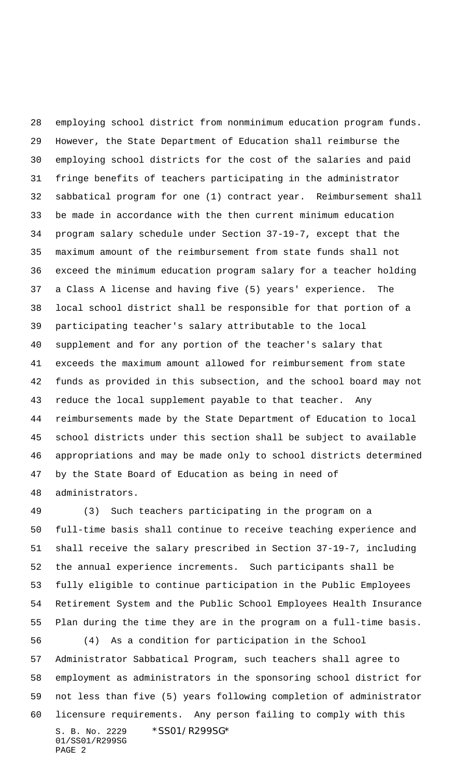employing school district from nonminimum education program funds. However, the State Department of Education shall reimburse the employing school districts for the cost of the salaries and paid fringe benefits of teachers participating in the administrator sabbatical program for one (1) contract year. Reimbursement shall be made in accordance with the then current minimum education program salary schedule under Section 37-19-7, except that the maximum amount of the reimbursement from state funds shall not exceed the minimum education program salary for a teacher holding a Class A license and having five (5) years' experience. The local school district shall be responsible for that portion of a participating teacher's salary attributable to the local supplement and for any portion of the teacher's salary that exceeds the maximum amount allowed for reimbursement from state funds as provided in this subsection, and the school board may not reduce the local supplement payable to that teacher. Any reimbursements made by the State Department of Education to local school districts under this section shall be subject to available appropriations and may be made only to school districts determined by the State Board of Education as being in need of administrators.

S. B. No. 2229 \*SS01/R299SG\* 01/SS01/R299SG PAGE 2 (3) Such teachers participating in the program on a full-time basis shall continue to receive teaching experience and shall receive the salary prescribed in Section 37-19-7, including the annual experience increments. Such participants shall be fully eligible to continue participation in the Public Employees Retirement System and the Public School Employees Health Insurance Plan during the time they are in the program on a full-time basis. (4) As a condition for participation in the School Administrator Sabbatical Program, such teachers shall agree to employment as administrators in the sponsoring school district for not less than five (5) years following completion of administrator licensure requirements. Any person failing to comply with this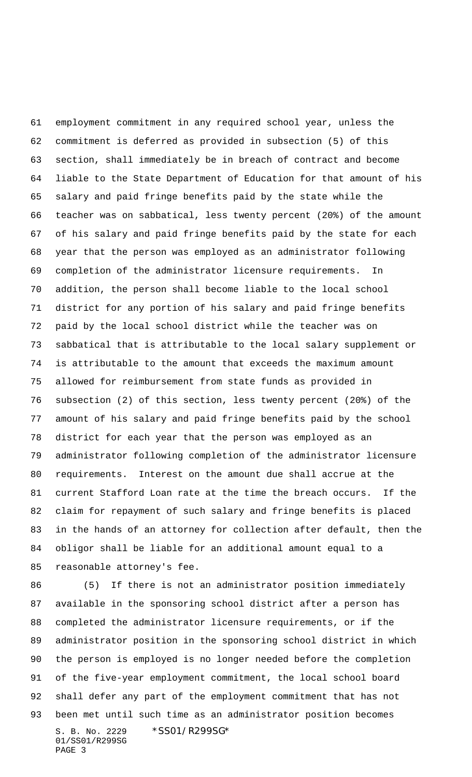employment commitment in any required school year, unless the commitment is deferred as provided in subsection (5) of this section, shall immediately be in breach of contract and become liable to the State Department of Education for that amount of his salary and paid fringe benefits paid by the state while the teacher was on sabbatical, less twenty percent (20%) of the amount of his salary and paid fringe benefits paid by the state for each year that the person was employed as an administrator following completion of the administrator licensure requirements. In addition, the person shall become liable to the local school district for any portion of his salary and paid fringe benefits paid by the local school district while the teacher was on sabbatical that is attributable to the local salary supplement or is attributable to the amount that exceeds the maximum amount allowed for reimbursement from state funds as provided in subsection (2) of this section, less twenty percent (20%) of the amount of his salary and paid fringe benefits paid by the school district for each year that the person was employed as an administrator following completion of the administrator licensure requirements. Interest on the amount due shall accrue at the current Stafford Loan rate at the time the breach occurs. If the claim for repayment of such salary and fringe benefits is placed in the hands of an attorney for collection after default, then the obligor shall be liable for an additional amount equal to a reasonable attorney's fee.

S. B. No. 2229 \* SS01/R299SG\* 01/SS01/R299SG PAGE 3 (5) If there is not an administrator position immediately available in the sponsoring school district after a person has completed the administrator licensure requirements, or if the administrator position in the sponsoring school district in which the person is employed is no longer needed before the completion of the five-year employment commitment, the local school board shall defer any part of the employment commitment that has not been met until such time as an administrator position becomes